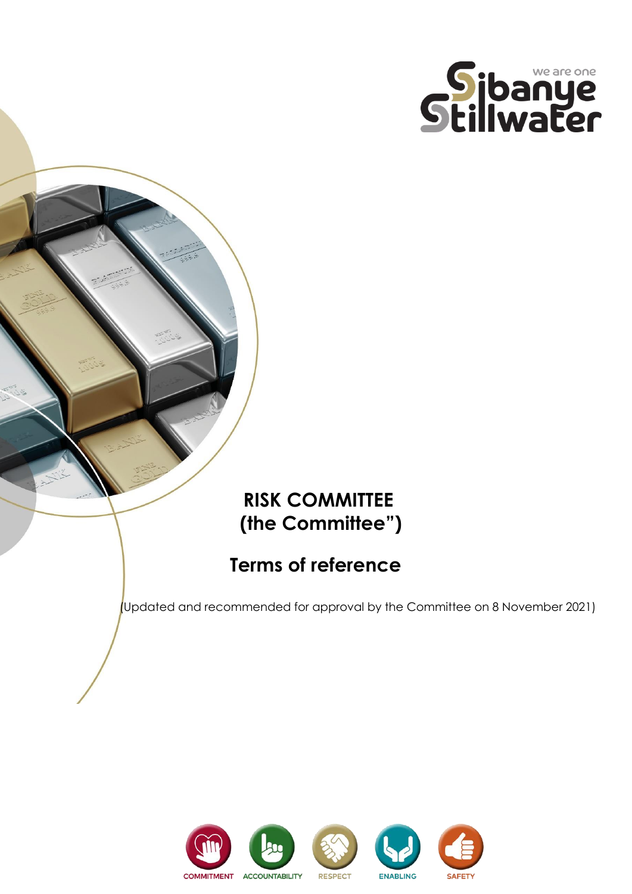

## **RISK COMMITTEE (the Committee")**

# **Terms of reference**

(Updated and recommended for approval by the Committee on 8 November 2021)

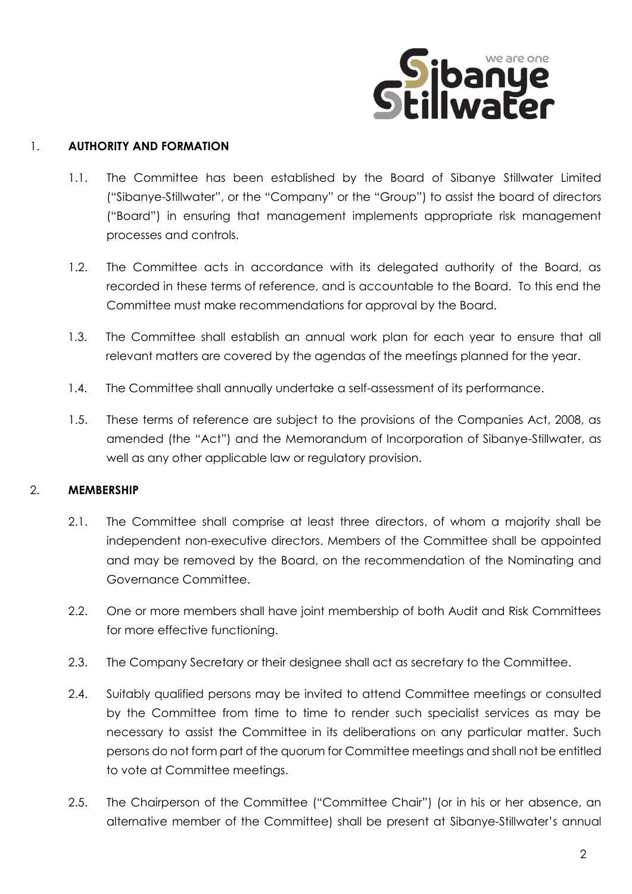

#### 1. **AUTHORITY AND FORMATION**

- 1.1. The Committee has been established by the Board of Sibanye Stillwater Limited ("Sibanye-Stillwater", or the "Company" or the "Group") to assist the board of directors ("Board") in ensuring that management implements appropriate risk management processes and controls.
- 1.2. The Committee acts in accordance with its delegated authority of the Board, as recorded in these terms of reference, and is accountable to the Board. To this end the Committee must make recommendations for approval by the Board.
- 1.3. The Committee shall establish an annual work plan for each year to ensure that all relevant matters are covered by the agendas of the meetings planned for the year.
- 1.4. The Committee shall annually undertake a self-assessment of its performance.
- 1.5. These terms of reference are subject to the provisions of the Companies Act, 2008, as amended (the "Act") and the Memorandum of Incorporation of Sibanye-Stillwater, as well as any other applicable law or regulatory provision.

## 2. **MEMBERSHIP**

- 2.1. The Committee shall comprise at least three directors, of whom a majority shall be independent non-executive directors. Members of the Committee shall be appointed and may be removed by the Board, on the recommendation of the Nominating and Governance Committee.
- 2.2. One or more members shall have joint membership of both Audit and Risk Committees for more effective functioning.
- 2.3. The Company Secretary or their designee shall act as secretary to the Committee.
- 2.4. Suitably qualified persons may be invited to attend Committee meetings or consulted by the Committee from time to time to render such specialist services as may be necessary to assist the Committee in its deliberations on any particular matter. Such persons do not form part of the quorum for Committee meetings and shall not be entitled to vote at Committee meetings.
- 2.5. The Chairperson of the Committee ("Committee Chair") (or in his or her absence, an alternative member of the Committee) shall be present at Sibanye-Stillwater's annual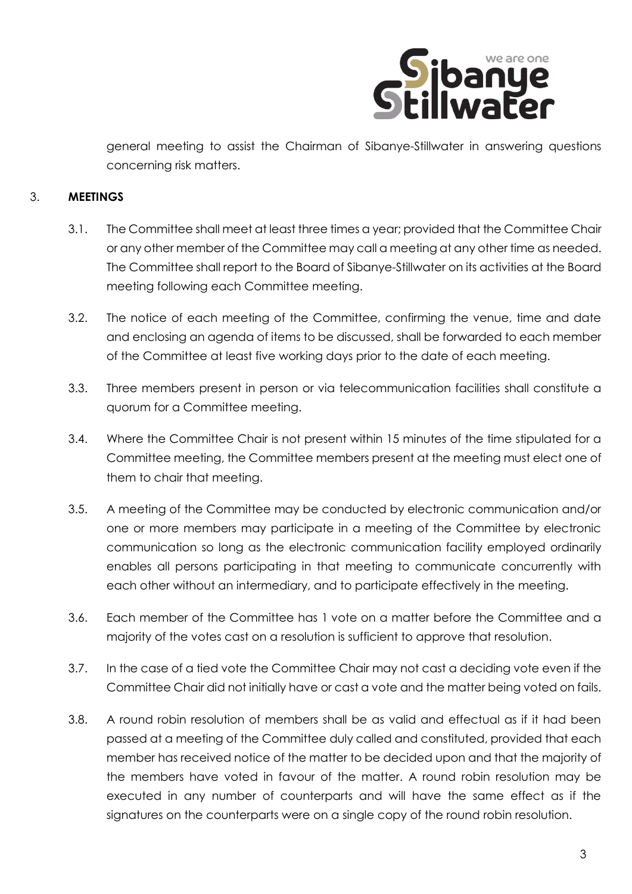

general meeting to assist the Chairman of Sibanye-Stillwater in answering questions concerning risk matters.

#### 3. **MEETINGS**

- 3.1. The Committee shall meet at least three times a year; provided that the Committee Chair or any other member of the Committee may call a meeting at any other time as needed. The Committee shall report to the Board of Sibanye-Stillwater on its activities at the Board meeting following each Committee meeting.
- 3.2. The notice of each meeting of the Committee, confirming the venue, time and date and enclosing an agenda of items to be discussed, shall be forwarded to each member of the Committee at least five working days prior to the date of each meeting.
- 3.3. Three members present in person or via telecommunication facilities shall constitute a quorum for a Committee meeting.
- 3.4. Where the Committee Chair is not present within 15 minutes of the time stipulated for a Committee meeting, the Committee members present at the meeting must elect one of them to chair that meeting.
- 3.5. A meeting of the Committee may be conducted by electronic communication and/or one or more members may participate in a meeting of the Committee by electronic communication so long as the electronic communication facility employed ordinarily enables all persons participating in that meeting to communicate concurrently with each other without an intermediary, and to participate effectively in the meeting.
- 3.6. Each member of the Committee has 1 vote on a matter before the Committee and a majority of the votes cast on a resolution is sufficient to approve that resolution.
- 3.7. In the case of a tied vote the Committee Chair may not cast a deciding vote even if the Committee Chair did not initially have or cast a vote and the matter being voted on fails.
- 3.8. A round robin resolution of members shall be as valid and effectual as if it had been passed at a meeting of the Committee duly called and constituted, provided that each member has received notice of the matter to be decided upon and that the majority of the members have voted in favour of the matter. A round robin resolution may be executed in any number of counterparts and will have the same effect as if the signatures on the counterparts were on a single copy of the round robin resolution.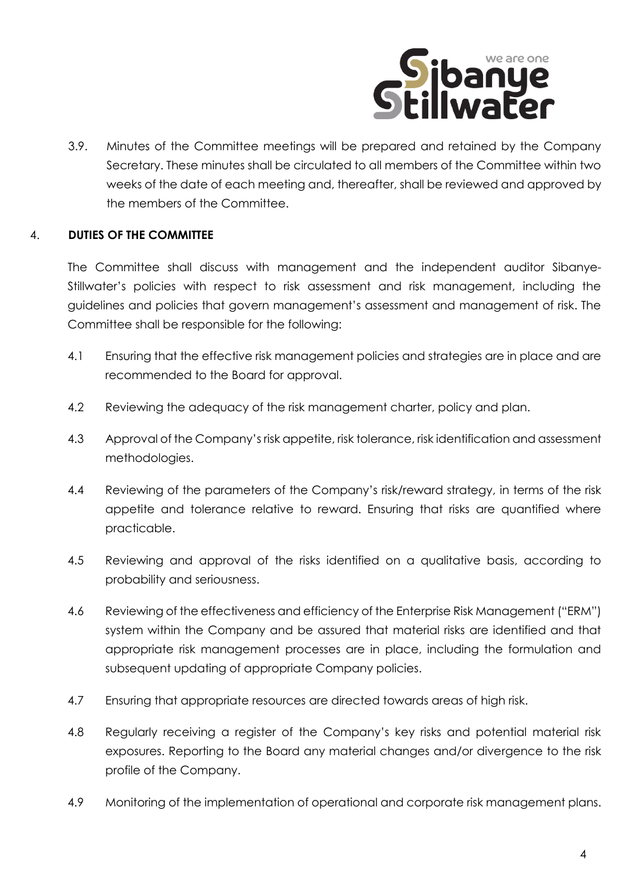

3.9. Minutes of the Committee meetings will be prepared and retained by the Company Secretary. These minutes shall be circulated to all members of the Committee within two weeks of the date of each meeting and, thereafter, shall be reviewed and approved by the members of the Committee.

## 4. **DUTIES OF THE COMMITTEE**

The Committee shall discuss with management and the independent auditor Sibanye-Stillwater's policies with respect to risk assessment and risk management, including the guidelines and policies that govern management's assessment and management of risk. The Committee shall be responsible for the following:

- 4.1 Ensuring that the effective risk management policies and strategies are in place and are recommended to the Board for approval.
- 4.2 Reviewing the adequacy of the risk management charter, policy and plan.
- 4.3 Approval of the Company's risk appetite, risk tolerance, risk identification and assessment methodologies.
- 4.4 Reviewing of the parameters of the Company's risk/reward strategy, in terms of the risk appetite and tolerance relative to reward. Ensuring that risks are quantified where practicable.
- 4.5 Reviewing and approval of the risks identified on a qualitative basis, according to probability and seriousness.
- 4.6 Reviewing of the effectiveness and efficiency of the Enterprise Risk Management ("ERM") system within the Company and be assured that material risks are identified and that appropriate risk management processes are in place, including the formulation and subsequent updating of appropriate Company policies.
- 4.7 Ensuring that appropriate resources are directed towards areas of high risk.
- 4.8 Regularly receiving a register of the Company's key risks and potential material risk exposures. Reporting to the Board any material changes and/or divergence to the risk profile of the Company.
- 4.9 Monitoring of the implementation of operational and corporate risk management plans.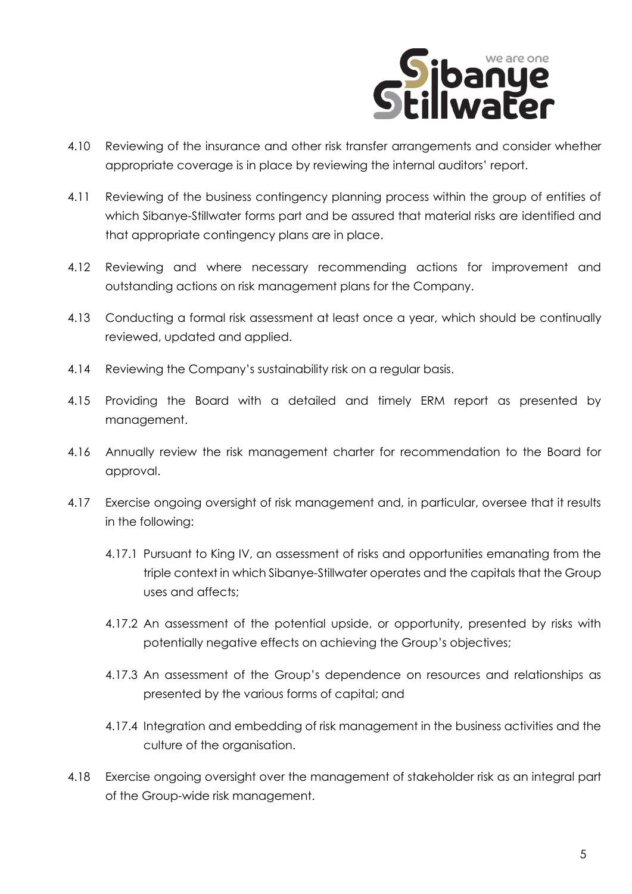

- 4.10 Reviewing of the insurance and other risk transfer arrangements and consider whether appropriate coverage is in place by reviewing the internal auditors' report.
- 4.11 Reviewing of the business contingency planning process within the group of entities of which Sibanye-Stillwater forms part and be assured that material risks are identified and that appropriate contingency plans are in place.
- 4.12 Reviewing and where necessary recommending actions for improvement and outstanding actions on risk management plans for the Company.
- 4.13 Conducting a formal risk assessment at least once a year, which should be continually reviewed, updated and applied.
- 4.14 Reviewing the Company's sustainability risk on a regular basis.
- 4.15 Providing the Board with a detailed and timely ERM report as presented by management.
- 4.16 Annually review the risk management charter for recommendation to the Board for approval.
- 4.17 Exercise ongoing oversight of risk management and, in particular, oversee that it results in the following:
	- 4.17.1 Pursuant to King IV, an assessment of risks and opportunities emanating from the triple context in which Sibanye-Stillwater operates and the capitals that the Group uses and affects;
	- 4.17.2 An assessment of the potential upside, or opportunity, presented by risks with potentially negative effects on achieving the Group's objectives;
	- 4.17.3 An assessment of the Group's dependence on resources and relationships as presented by the various forms of capital; and
	- 4.17.4 Integration and embedding of risk management in the business activities and the culture of the organisation.
- 4.18 Exercise ongoing oversight over the management of stakeholder risk as an integral part of the Group-wide risk management.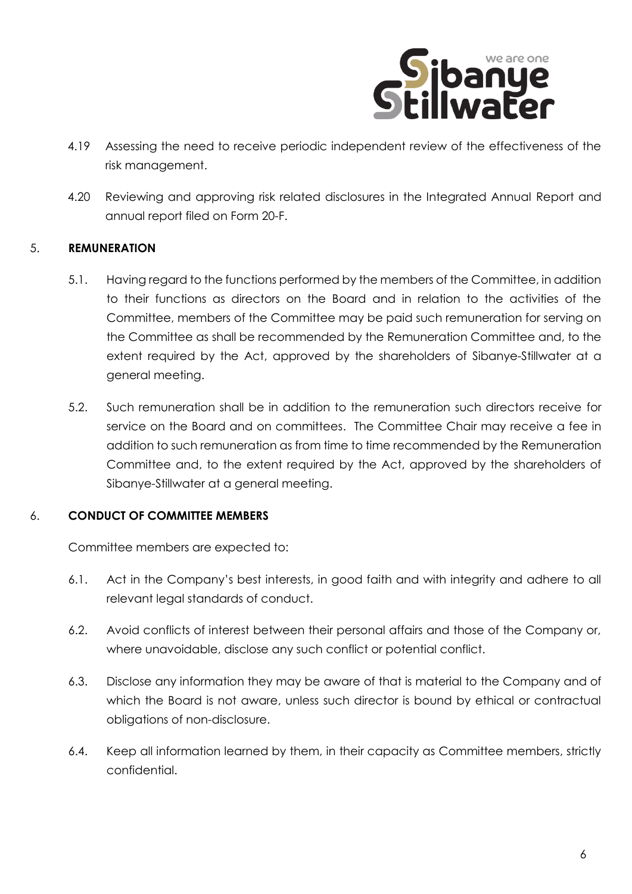

- 4.19 Assessing the need to receive periodic independent review of the effectiveness of the risk management.
- 4.20 Reviewing and approving risk related disclosures in the Integrated Annual Report and annual report filed on Form 20-F.

#### 5. **REMUNERATION**

- 5.1. Having regard to the functions performed by the members of the Committee, in addition to their functions as directors on the Board and in relation to the activities of the Committee, members of the Committee may be paid such remuneration for serving on the Committee as shall be recommended by the Remuneration Committee and, to the extent required by the Act, approved by the shareholders of Sibanye-Stillwater at a general meeting.
- 5.2. Such remuneration shall be in addition to the remuneration such directors receive for service on the Board and on committees. The Committee Chair may receive a fee in addition to such remuneration as from time to time recommended by the Remuneration Committee and, to the extent required by the Act, approved by the shareholders of Sibanye-Stillwater at a general meeting.

#### 6. **CONDUCT OF COMMITTEE MEMBERS**

Committee members are expected to:

- 6.1. Act in the Company's best interests, in good faith and with integrity and adhere to all relevant legal standards of conduct.
- 6.2. Avoid conflicts of interest between their personal affairs and those of the Company or, where unavoidable, disclose any such conflict or potential conflict.
- 6.3. Disclose any information they may be aware of that is material to the Company and of which the Board is not aware, unless such director is bound by ethical or contractual obligations of non-disclosure.
- 6.4. Keep all information learned by them, in their capacity as Committee members, strictly confidential.